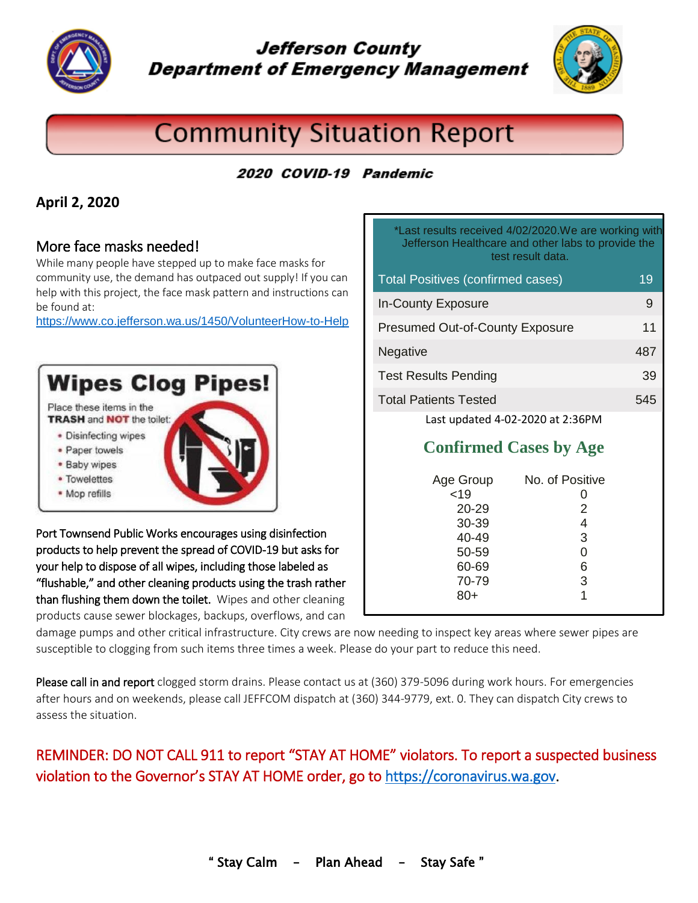

# **Jefferson County Department of Emergency Management**



# **Community Situation Report**

## 2020 COVID-19 Pandemic

#### **April 2, 2020**

#### More face masks needed!

While many people have stepped up to make face masks for community use, the demand has outpaced out supply! If you can help with this project, the face mask pattern and instructions can be found at:

<https://www.co.jefferson.wa.us/1450/VolunteerHow-to-Help>



Port Townsend Public Works encourages using disinfection products to help prevent the spread of COVID-19 but asks for your help to dispose of all wipes, including those labeled as "flushable," and other cleaning products using the trash rather than flushing them down the toilet. Wipes and other cleaning products cause sewer blockages, backups, overflows, and can

| *Last results received 4/02/2020. We are working with<br>Jefferson Healthcare and other labs to provide the<br>test result data. |     |
|----------------------------------------------------------------------------------------------------------------------------------|-----|
| <b>Total Positives (confirmed cases)</b>                                                                                         | 19  |
| <b>In-County Exposure</b>                                                                                                        | 9   |
| <b>Presumed Out-of-County Exposure</b>                                                                                           | 11  |
| Negative                                                                                                                         | 487 |
| <b>Test Results Pending</b>                                                                                                      | 39  |
| <b>Total Patients Tested</b>                                                                                                     | 545 |
| Last updated 4-02-2020 at 2:36PM                                                                                                 |     |

## **Confirmed Cases by Age**

| No. of Positive<br>O<br>2<br>4<br>3<br>0<br>6<br>3<br>1 |
|---------------------------------------------------------|
|                                                         |
|                                                         |

damage pumps and other critical infrastructure. City crews are now needing to inspect key areas where sewer pipes are susceptible to clogging from such items three times a week. Please do your part to reduce this need.

Please call in and report clogged storm drains. Please contact us at (360) 379-5096 during work hours. For emergencies after hours and on weekends, please call JEFFCOM dispatch at (360) 344-9779, ext. 0. They can dispatch City crews to assess the situation.

## REMINDER: DO NOT CALL 911 to report "STAY AT HOME" violators. To report a suspected business violation to the Governor's STAY AT HOME order, go to [https://coronavirus.wa.gov.](https://coronavirus.wa.gov/)